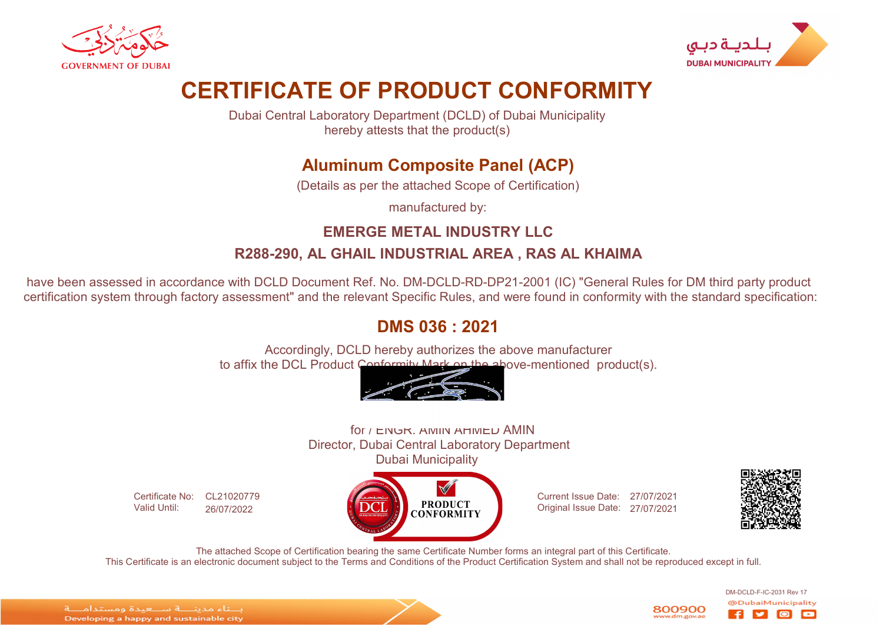



# CERTIFICATE OF PRODUCT CONFORMITY

Dubai Central Laboratory Department (DCLD) of Dubai Municipality hereby attests that the product(s)

## Aluminum Composite Panel (ACP)

(Details as per the attached Scope of Certification)

manufactured by:

### EMERGE METAL INDUSTRY LLC R288-290, AL GHAIL INDUSTRIAL AREA , RAS AL KHAIMA

have been assessed in accordance with DCLD Document Ref. No. DM-DCLD-RD-DP21-2001 (IC) "General Rules for DM third party product certification system through factory assessment" and the relevant Specific Rules, and were found in conformity with the standard specification:

### DMS 036 : 2021

Accordingly, DCLD hereby authorizes the above manufacturer to affix the DCL Product Conformity Mark on the above-mentioned product(s).

#### for / ENGR. AMIN AHMED AMIN Director, Dubai Central Laboratory Department Dubai Municipality

Certificate No: CL21020779 Valid Until: 26/07/2022

 $\blacktriangledown$ **PRODUCT CONFORMITY** 

Current Issue Date: 27/07/2021 Original Issue Date: 27/07/2021



DM-DCLD-F-IC-2031 Rev 17

o

The attached Scope of Certification bearing the same Certificate Number forms an integral part of this Certificate. This Certificate is an electronic document subject to the Terms and Conditions of the Product Certification System and shall not be reproduced except in full.